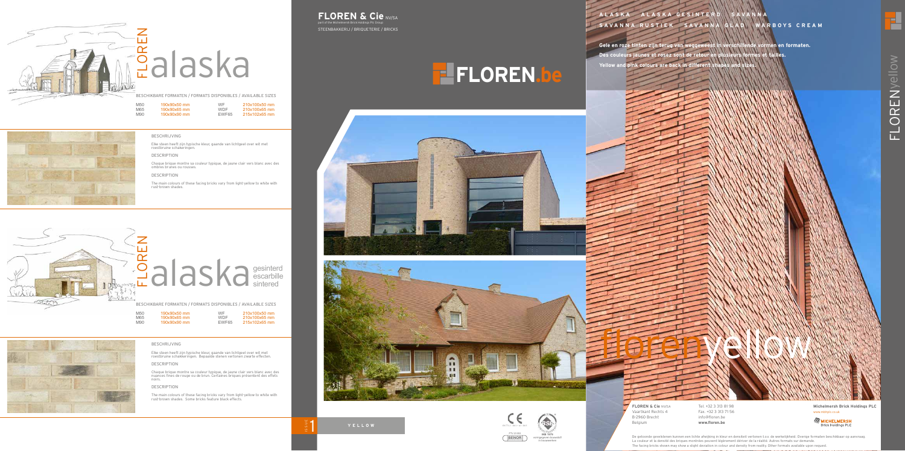WF 210x100x50 mm<br>WDF 210x100x65 mm WDF 210x100x65 mm EWF65 215x102x65 mm





M50 190x90x50 mm<br>M65 190x90x65 mm<br>M90 190x90x90 mm 190x90x65 mm<br>190x90x90 mm

#### BESCHRIJVING

Elke steen heeft zijn typische kleur, gaande van lichtgeel over wit met roestbruine schakeringen.

#### DESCRIPTION

Chaque brique montre sa couleur typique, de jaune clair vers blanc avec des ombres brunes ou rousses.

#### DESCRIPTION

The main colours of these facing bricks vary from light-yellow to white with rust-brown shades.



## $\sum_{\text{BESCHIKBARE FORMATEN / FORMATS DISPONIBLES / AVAI}\atop\text{M50}}\n\sum_{\text{BESCHIKBARE FORMATEN / FORMATS DISPONIBLES / AVAI}\atop\text{M50}}\n\sum_{\text{M50}}\n\sum_{\text{30x90x50 mm}\atop\text{190x90x80 mm}\atop\text{190x90x90 mm}\atop\text{210x}}\n\sum_{\text{WDF}}\n\sum_{\text{210x}}\n\sum_{\text{210x}}\n\sum_{\text{210x}}\n\sum_{\text{210x}}\n\sum_{\text{2$ gesinterd escarbille sintered

BESCHIKBARE FORMATEN / FORMATS DISPONIBLES / AVAILABLE SIZES

M50 190x90x50 mm<br>M65 190x90x65 mm M65 190x90x65 mm<br>M90 190x90x90 mm WF 210x100x50 mm<br>WDF 210x100x65 mm WDF 210x100x65 mm<br>EWF65 215x102x65 mm 215x102x65 mm



#### **FLOREN & Cie NV/SA** part of the Michelmersh Brick Holdings Plc Group

#### BESCHRIJVING

Elke steen heeft zijn typische kleur, gaande van lichtgeel over wit met roestbruine schakkeringen. Bepaalde stenen vertonen zwarte effecten.

DESCRIPTION

Chaque brique montre sa couleur typique, de jaune clair vers blanc avec des nuances fines de rouge ou de brun. Certaines briques présentent des effets noirs.

#### DESCRIPTION

The main colours of these facing bricks vary from light-yellow to white with rust-brown shades. Some bricks feature black effects.

ISSUE 1

# **FLOREN.be**

**BENOR EN 771-1 is 2011 begetoonde gevelstenen kunnen een lichte afwijking in kleur en densiteit vertonen t.o.v. de werkelijkheid. Overige formaten beschikbaar op aanvraag.<br>De couleur et la densité des brigues montrées peu** La couleur et la densité des briques montrées peuvent légèrement dériver de la réalité. Autres formats sur demande. The facing bricks shown may show a slight deviation in colour and density from reality. Other formats available upon request.

STEENBAKKERIJ / BRIQUETERIE / BRICKS







**IKB 1979** vormgegeven bouwstof/ in bouwwerken

**BENOR** ENGLISH THE SERVICE OF THE RESERVED BOUND PROPERTY 2014 THE SERVED TO A THE BOUNDAL PROPERTY OF THE BOUNDAL PROPERTY OF THE BOUNDAL PROPERTY OF THE BOUNDAL PROPERTY OF THE BOUNDAL PROPERTY OF THE BOUNDAL PROPERTY O

 $BN 771-1: 2011 + A1: 2015$ 

PTV 23 002

### **A L A S K A A L A S K A G E S I N T E R D S A V A N N A SAVANNA RUSTIEK SAVANNA GLAD WARBOYS CREAM**

**Gele en roze tinten zijn terug van weggeweest in verschillende vormen en formaten. Des couleurs jaunes et rosez sont de retour en plusieurs formes et tailles. Yellow and pink colours are back in different shapes and sizes.**

**Michelmersh Brick Holdings PLC** www.mbhplc.co.uk



**FLORENVellow** FLORENyellow

립

Tel. +32 3 313 81 98 Fax. +32 3 313 71 56 info@floren.be **www.floren.be**

Florence Hotel Street